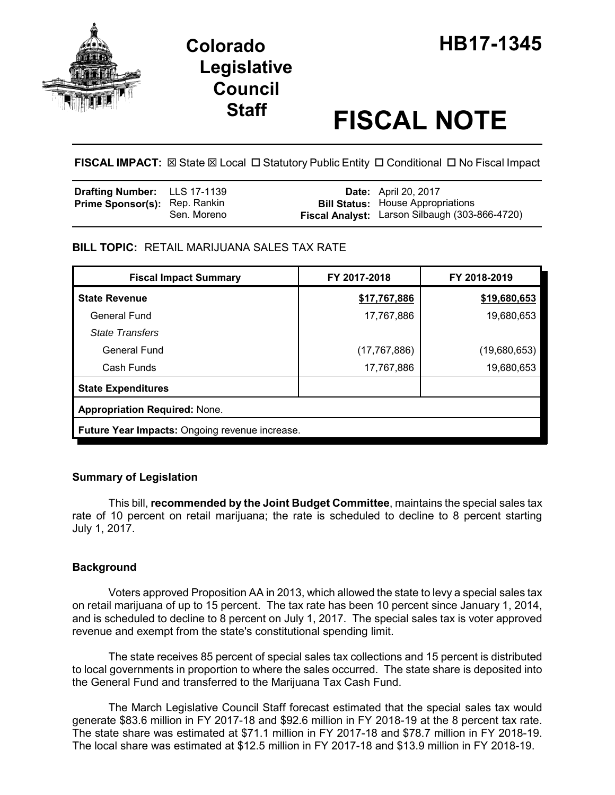

# **Legislative Council**

## **Staff FISCAL NOTE**

**FISCAL IMPACT:** ⊠ State ⊠ Local □ Statutory Public Entity □ Conditional □ No Fiscal Impact

| <b>Drafting Number:</b> LLS 17-1139  |             | <b>Date:</b> April 20, 2017                                                                |
|--------------------------------------|-------------|--------------------------------------------------------------------------------------------|
| <b>Prime Sponsor(s):</b> Rep. Rankin | Sen. Moreno | <b>Bill Status:</b> House Appropriations<br>Fiscal Analyst: Larson Silbaugh (303-866-4720) |

#### **BILL TOPIC:** RETAIL MARIJUANA SALES TAX RATE

| <b>Fiscal Impact Summary</b>                   | FY 2017-2018   | FY 2018-2019 |  |  |
|------------------------------------------------|----------------|--------------|--|--|
| <b>State Revenue</b>                           | \$17,767,886   | \$19,680,653 |  |  |
| General Fund                                   | 17,767,886     | 19,680,653   |  |  |
| <b>State Transfers</b>                         |                |              |  |  |
| General Fund                                   | (17, 767, 886) | (19,680,653) |  |  |
| Cash Funds                                     | 17,767,886     | 19,680,653   |  |  |
| <b>State Expenditures</b>                      |                |              |  |  |
| <b>Appropriation Required: None.</b>           |                |              |  |  |
| Future Year Impacts: Ongoing revenue increase. |                |              |  |  |

#### **Summary of Legislation**

This bill, **recommended by the Joint Budget Committee**, maintains the special sales tax rate of 10 percent on retail marijuana; the rate is scheduled to decline to 8 percent starting July 1, 2017.

### **Background**

Voters approved Proposition AA in 2013, which allowed the state to levy a special sales tax on retail marijuana of up to 15 percent. The tax rate has been 10 percent since January 1, 2014, and is scheduled to decline to 8 percent on July 1, 2017. The special sales tax is voter approved revenue and exempt from the state's constitutional spending limit.

The state receives 85 percent of special sales tax collections and 15 percent is distributed to local governments in proportion to where the sales occurred. The state share is deposited into the General Fund and transferred to the Marijuana Tax Cash Fund.

The March Legislative Council Staff forecast estimated that the special sales tax would generate \$83.6 million in FY 2017-18 and \$92.6 million in FY 2018-19 at the 8 percent tax rate. The state share was estimated at \$71.1 million in FY 2017-18 and \$78.7 million in FY 2018-19. The local share was estimated at \$12.5 million in FY 2017-18 and \$13.9 million in FY 2018-19.